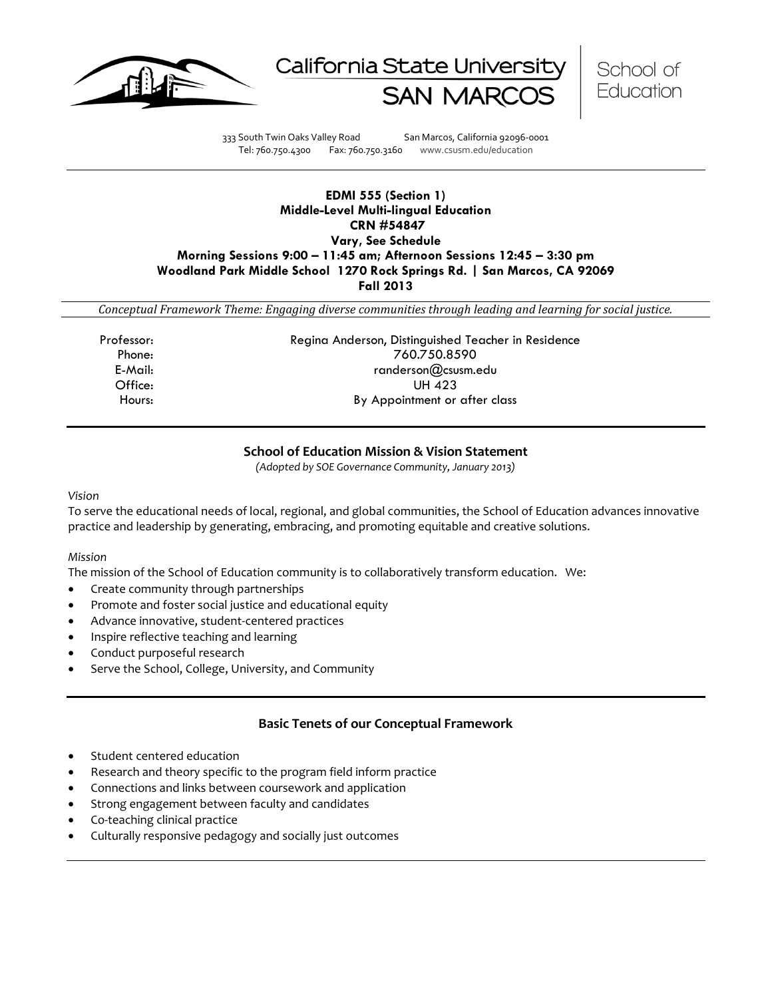





333 South Twin Oaks Valley Road San Marcos, California 92096-0001 Tel: 760.750.4300 Fax: 760.750.3160 www.csusm.edu/education

# **EDMI 555 (Section 1) Middle-Level Multi-lingual Education CRN #54847 Vary, See Schedule Morning Sessions 9:00 – 11:45 am; Afternoon Sessions 12:45 – 3:30 pm Woodland Park Middle School 1270 Rock Springs Rd. | San Marcos, CA 92069 Fall 2013**

*Conceptual Framework Theme: Engaging diverse communities through leading and learning for social justice.*

Professor: Regina Anderson, Distinguished Teacher in Residence Phone: 760.750.8590 E-Mail: randerson@csusm.edu Office: UH 423 Hours: By Appointment or after class

# **School of Education Mission & Vision Statement**

*(Adopted by SOE Governance Community, January 2013)*

#### *Vision*

To serve the educational needs of local, regional, and global communities, the School of Education advances innovative practice and leadership by generating, embracing, and promoting equitable and creative solutions.

### *Mission*

The mission of the School of Education community is to collaboratively transform education. We:

- Create community through partnerships
- Promote and foster social justice and educational equity
- Advance innovative, student-centered practices
- Inspire reflective teaching and learning
- Conduct purposeful research
- Serve the School, College, University, and Community

### **Basic Tenets of our Conceptual Framework**

- Student centered education
- Research and theory specific to the program field inform practice
- Connections and links between coursework and application
- Strong engagement between faculty and candidates
- Co-teaching clinical practice
- Culturally responsive pedagogy and socially just outcomes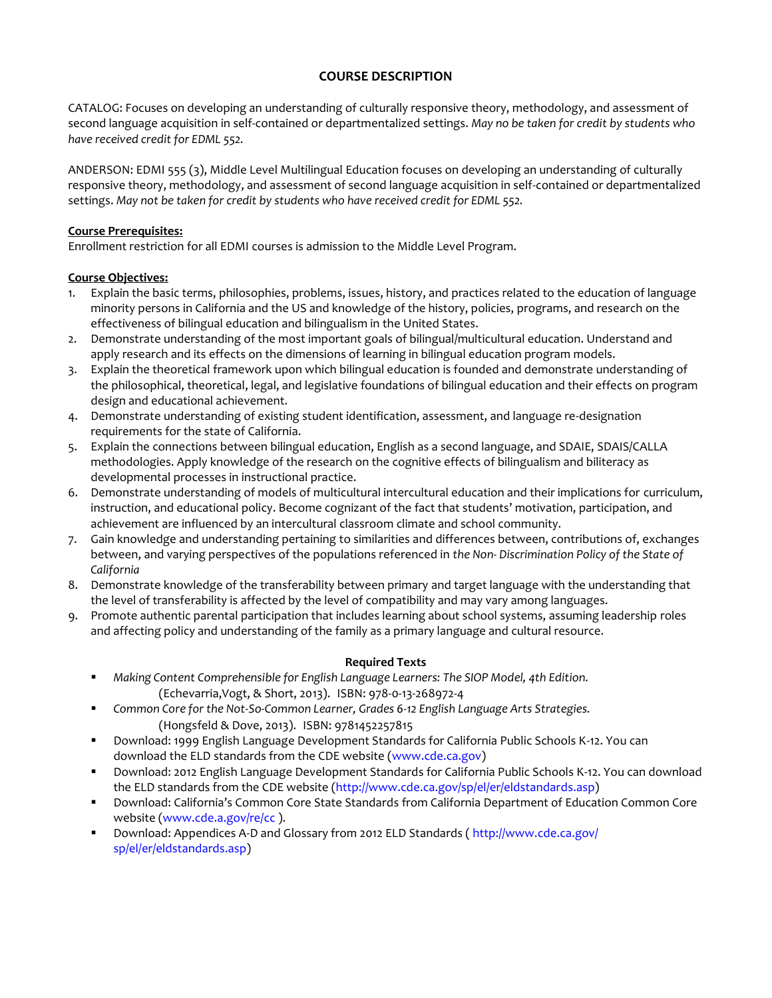# **COURSE DESCRIPTION**

CATALOG: Focuses on developing an understanding of culturally responsive theory, methodology, and assessment of second language acquisition in self-contained or departmentalized settings. *May no be taken for credit by students who have received credit for EDML 552.*

ANDERSON: EDMI 555 (3), Middle Level Multilingual Education focuses on developing an understanding of culturally responsive theory, methodology, and assessment of second language acquisition in self-contained or departmentalized settings. *May not be taken for credit by students who have received credit for EDML 552.*

# **Course Prerequisites:**

Enrollment restriction for all EDMI courses is admission to the Middle Level Program.

### **Course Objectives:**

- 1. Explain the basic terms, philosophies, problems, issues, history, and practices related to the education of language minority persons in California and the US and knowledge of the history, policies, programs, and research on the effectiveness of bilingual education and bilingualism in the United States.
- 2. Demonstrate understanding of the most important goals of bilingual/multicultural education. Understand and apply research and its effects on the dimensions of learning in bilingual education program models.
- 3. Explain the theoretical framework upon which bilingual education is founded and demonstrate understanding of the philosophical, theoretical, legal, and legislative foundations of bilingual education and their effects on program design and educational achievement.
- 4. Demonstrate understanding of existing student identification, assessment, and language re-designation requirements for the state of California.
- 5. Explain the connections between bilingual education, English as a second language, and SDAIE, SDAIS/CALLA methodologies. Apply knowledge of the research on the cognitive effects of bilingualism and biliteracy as developmental processes in instructional practice.
- 6. Demonstrate understanding of models of multicultural intercultural education and their implications for curriculum, instruction, and educational policy. Become cognizant of the fact that students' motivation, participation, and achievement are influenced by an intercultural classroom climate and school community.
- 7. Gain knowledge and understanding pertaining to similarities and differences between, contributions of, exchanges between, and varying perspectives of the populations referenced in *the Non- Discrimination Policy of the State of California*
- 8. Demonstrate knowledge of the transferability between primary and target language with the understanding that the level of transferability is affected by the level of compatibility and may vary among languages.
- 9. Promote authentic parental participation that includes learning about school systems, assuming leadership roles and affecting policy and understanding of the family as a primary language and cultural resource.

# **Required Texts**

- *Making Content Comprehensible for English Language Learners: The SIOP Model, 4th Edition.*  (Echevarria,Vogt, & Short, 2013). ISBN: 978-0-13-268972-4
- *Common Core for the Not-So-Common Learner, Grades 6-12 English Language Arts Strategies.*  (Hongsfeld & Dove, 2013). ISBN: 9781452257815
- Download: 1999 English Language Development Standards for California Public Schools K-12. You can download the ELD standards from the CDE website (www.cde.ca.gov)
- Download: 2012 English Language Development Standards for California Public Schools K-12. You can download the ELD standards from the CDE website (http://www.cde.ca.gov/sp/el/er/eldstandards.asp)
- Download: California's Common Core State Standards from California Department of Education Common Core website (www.cde.a.gov/re/cc ).
- Download: Appendices A-D and Glossary from 2012 ELD Standards ( http://www.cde.ca.gov/ sp/el/er/eldstandards.asp)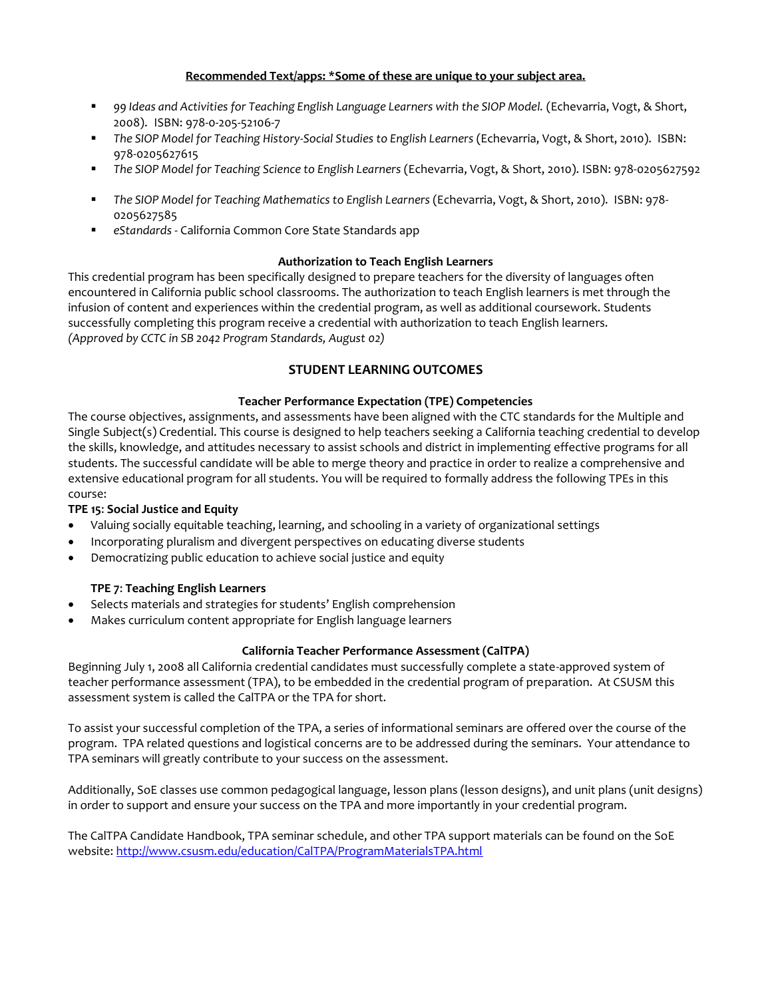## **Recommended Text/apps: \*Some of these are unique to your subject area.**

- *99 Ideas and Activities for Teaching English Language Learners with the SIOP Model.* (Echevarria, Vogt, & Short, 2008). ISBN: 978-0-205-52106-7
- *The SIOP Model for Teaching History-Social Studies to English Learners* (Echevarria, Vogt, & Short, 2010). ISBN: 978-0205627615
- *The SIOP Model for Teaching Science to English Learners* (Echevarria, Vogt, & Short, 2010). ISBN: 978-0205627592
- *The SIOP Model for Teaching Mathematics to English Learners* (Echevarria, Vogt, & Short, 2010). ISBN: 978- 0205627585
- *eStandards*  California Common Core State Standards app

### **Authorization to Teach English Learners**

This credential program has been specifically designed to prepare teachers for the diversity of languages often encountered in California public school classrooms. The authorization to teach English learners is met through the infusion of content and experiences within the credential program, as well as additional coursework. Students successfully completing this program receive a credential with authorization to teach English learners. *(Approved by CCTC in SB 2042 Program Standards, August 02)*

### **STUDENT LEARNING OUTCOMES**

### **Teacher Performance Expectation (TPE) Competencies**

The course objectives, assignments, and assessments have been aligned with the CTC standards for the Multiple and Single Subject(s) Credential. This course is designed to help teachers seeking a California teaching credential to develop the skills, knowledge, and attitudes necessary to assist schools and district in implementing effective programs for all students. The successful candidate will be able to merge theory and practice in order to realize a comprehensive and extensive educational program for all students. You will be required to formally address the following TPEs in this course:

### **TPE 15**: **Social Justice and Equity**

- Valuing socially equitable teaching, learning, and schooling in a variety of organizational settings
- Incorporating pluralism and divergent perspectives on educating diverse students
- Democratizing public education to achieve social justice and equity

# **TPE 7**: **Teaching English Learners**

- Selects materials and strategies for students' English comprehension
- Makes curriculum content appropriate for English language learners

### **California Teacher Performance Assessment (CalTPA)**

Beginning July 1, 2008 all California credential candidates must successfully complete a state-approved system of teacher performance assessment (TPA), to be embedded in the credential program of preparation. At CSUSM this assessment system is called the CalTPA or the TPA for short.

To assist your successful completion of the TPA, a series of informational seminars are offered over the course of the program. TPA related questions and logistical concerns are to be addressed during the seminars. Your attendance to TPA seminars will greatly contribute to your success on the assessment.

Additionally, SoE classes use common pedagogical language, lesson plans (lesson designs), and unit plans (unit designs) in order to support and ensure your success on the TPA and more importantly in your credential program.

The CalTPA Candidate Handbook, TPA seminar schedule, and other TPA support materials can be found on the SoE website:<http://www.csusm.edu/education/CalTPA/ProgramMaterialsTPA.html>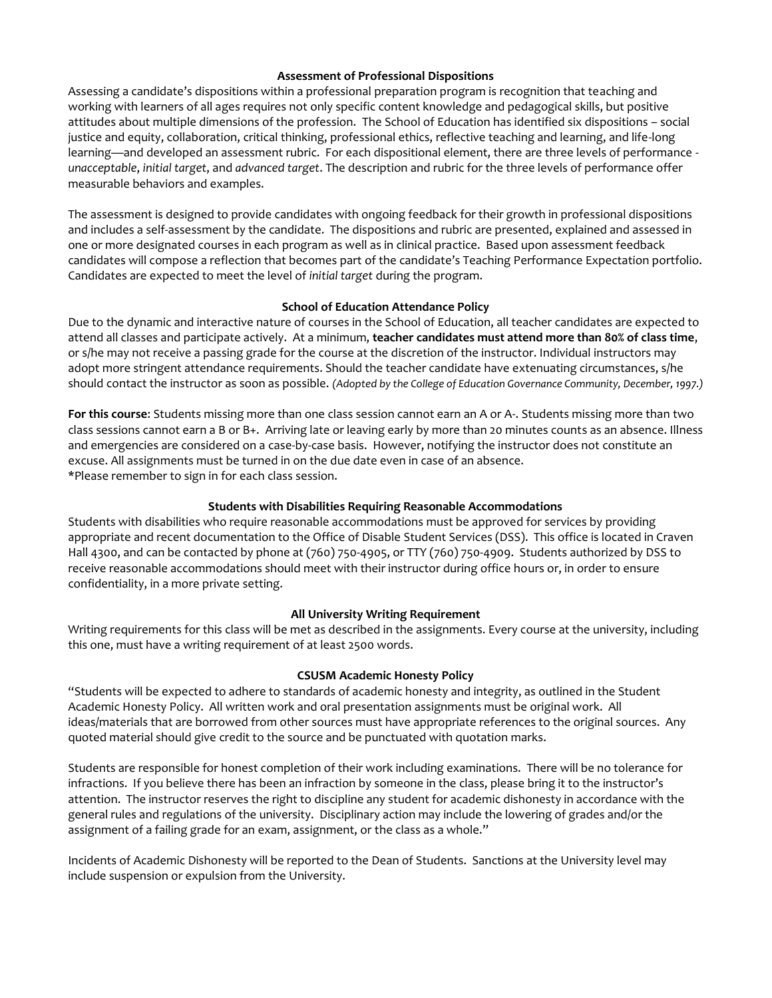#### **Assessment of Professional Dispositions**

Assessing a candidate's dispositions within a professional preparation program is recognition that teaching and working with learners of all ages requires not only specific content knowledge and pedagogical skills, but positive attitudes about multiple dimensions of the profession. The School of Education has identified six dispositions – social justice and equity, collaboration, critical thinking, professional ethics, reflective teaching and learning, and life-long learning—and developed an assessment rubric. For each dispositional element, there are three levels of performance *unacceptable*, *initial target*, and *advanced target*. The description and rubric for the three levels of performance offer measurable behaviors and examples.

The assessment is designed to provide candidates with ongoing feedback for their growth in professional dispositions and includes a self-assessment by the candidate. The dispositions and rubric are presented, explained and assessed in one or more designated courses in each program as well as in clinical practice. Based upon assessment feedback candidates will compose a reflection that becomes part of the candidate's Teaching Performance Expectation portfolio. Candidates are expected to meet the level of *initial target* during the program.

#### **School of Education Attendance Policy**

Due to the dynamic and interactive nature of courses in the School of Education, all teacher candidates are expected to attend all classes and participate actively. At a minimum, **teacher candidates must attend more than 80% of class time**, or s/he may not receive a passing grade for the course at the discretion of the instructor. Individual instructors may adopt more stringent attendance requirements. Should the teacher candidate have extenuating circumstances, s/he should contact the instructor as soon as possible. *(Adopted by the College of Education Governance Community, December, 1997.)*

**For this course**: Students missing more than one class session cannot earn an A or A-. Students missing more than two class sessions cannot earn a B or B+. Arriving late or leaving early by more than 20 minutes counts as an absence. Illness and emergencies are considered on a case-by-case basis. However, notifying the instructor does not constitute an excuse. All assignments must be turned in on the due date even in case of an absence. \*Please remember to sign in for each class session.

### **Students with Disabilities Requiring Reasonable Accommodations**

Students with disabilities who require reasonable accommodations must be approved for services by providing appropriate and recent documentation to the Office of Disable Student Services (DSS). This office is located in Craven Hall 4300, and can be contacted by phone at (760) 750-4905, or TTY (760) 750-4909. Students authorized by DSS to receive reasonable accommodations should meet with their instructor during office hours or, in order to ensure confidentiality, in a more private setting.

### **All University Writing Requirement**

Writing requirements for this class will be met as described in the assignments. Every course at the university, including this one, must have a writing requirement of at least 2500 words.

### **CSUSM Academic Honesty Policy**

"Students will be expected to adhere to standards of academic honesty and integrity, as outlined in the Student Academic Honesty Policy. All written work and oral presentation assignments must be original work. All ideas/materials that are borrowed from other sources must have appropriate references to the original sources. Any quoted material should give credit to the source and be punctuated with quotation marks.

Students are responsible for honest completion of their work including examinations. There will be no tolerance for infractions. If you believe there has been an infraction by someone in the class, please bring it to the instructor's attention. The instructor reserves the right to discipline any student for academic dishonesty in accordance with the general rules and regulations of the university. Disciplinary action may include the lowering of grades and/or the assignment of a failing grade for an exam, assignment, or the class as a whole."

Incidents of Academic Dishonesty will be reported to the Dean of Students. Sanctions at the University level may include suspension or expulsion from the University.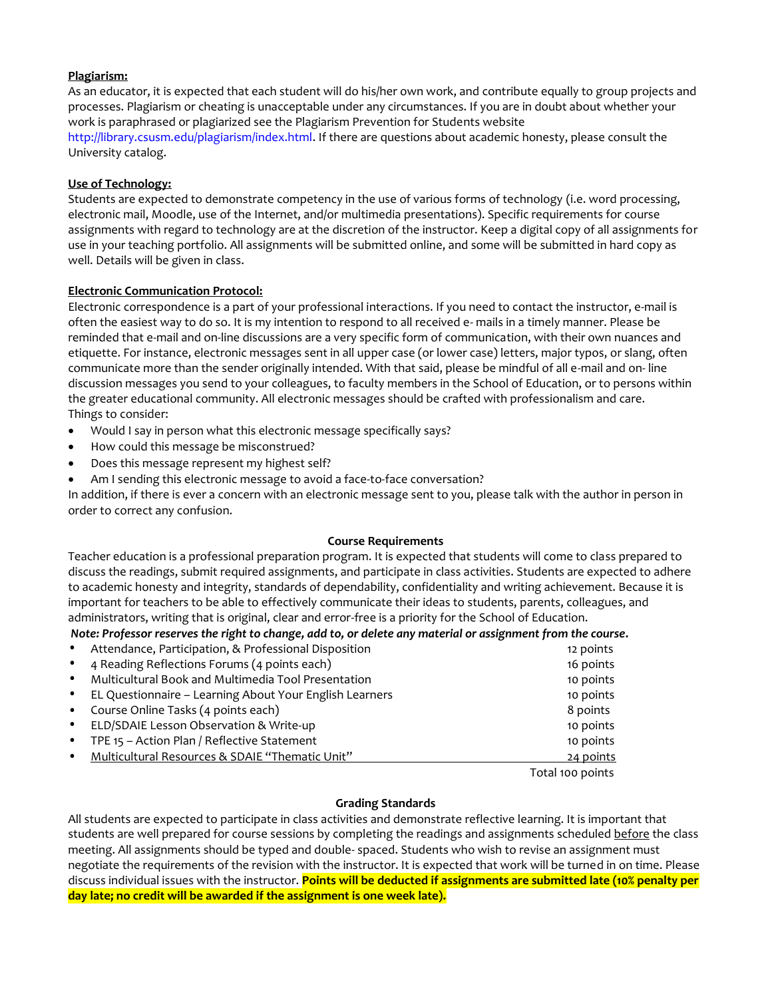## **Plagiarism:**

As an educator, it is expected that each student will do his/her own work, and contribute equally to group projects and processes. Plagiarism or cheating is unacceptable under any circumstances. If you are in doubt about whether your work is paraphrased or plagiarized see the Plagiarism Prevention for Students website http://library.csusm.edu/plagiarism/index.html. If there are questions about academic honesty, please consult the University catalog.

### **Use of Technology:**

Students are expected to demonstrate competency in the use of various forms of technology (i.e. word processing, electronic mail, Moodle, use of the Internet, and/or multimedia presentations). Specific requirements for course assignments with regard to technology are at the discretion of the instructor. Keep a digital copy of all assignments for use in your teaching portfolio. All assignments will be submitted online, and some will be submitted in hard copy as well. Details will be given in class.

### **Electronic Communication Protocol:**

Electronic correspondence is a part of your professional interactions. If you need to contact the instructor, e-mail is often the easiest way to do so. It is my intention to respond to all received e- mails in a timely manner. Please be reminded that e-mail and on-line discussions are a very specific form of communication, with their own nuances and etiquette. For instance, electronic messages sent in all upper case (or lower case) letters, major typos, or slang, often communicate more than the sender originally intended. With that said, please be mindful of all e-mail and on- line discussion messages you send to your colleagues, to faculty members in the School of Education, or to persons within the greater educational community. All electronic messages should be crafted with professionalism and care. Things to consider:

- Would I say in person what this electronic message specifically says?
- How could this message be misconstrued?
- Does this message represent my highest self?
- Am I sending this electronic message to avoid a face-to-face conversation?

In addition, if there is ever a concern with an electronic message sent to you, please talk with the author in person in order to correct any confusion.

### **Course Requirements**

Teacher education is a professional preparation program. It is expected that students will come to class prepared to discuss the readings, submit required assignments, and participate in class activities. Students are expected to adhere to academic honesty and integrity, standards of dependability, confidentiality and writing achievement. Because it is important for teachers to be able to effectively communicate their ideas to students, parents, colleagues, and administrators, writing that is original, clear and error-free is a priority for the School of Education.

*Note: Professor reserves the right to change, add to, or delete any material or assignment from the course.*

| $\bullet$ | Attendance, Participation, & Professional Disposition   | 12 points        |
|-----------|---------------------------------------------------------|------------------|
| $\bullet$ | 4 Reading Reflections Forums (4 points each)            | 16 points        |
| $\bullet$ | Multicultural Book and Multimedia Tool Presentation     | 10 points        |
| $\bullet$ | EL Questionnaire - Learning About Your English Learners | 10 points        |
| $\bullet$ | Course Online Tasks (4 points each)                     | 8 points         |
| $\bullet$ | ELD/SDAIE Lesson Observation & Write-up                 | 10 points        |
| $\bullet$ | TPE 15 - Action Plan / Reflective Statement             | 10 points        |
| $\bullet$ | Multicultural Resources & SDAIE "Thematic Unit"         | 24 points        |
|           |                                                         | Total 100 points |

### **Grading Standards**

All students are expected to participate in class activities and demonstrate reflective learning. It is important that students are well prepared for course sessions by completing the readings and assignments scheduled before the class meeting. All assignments should be typed and double- spaced. Students who wish to revise an assignment must negotiate the requirements of the revision with the instructor. It is expected that work will be turned in on time. Please discuss individual issues with the instructor. **Points will be deducted if assignments are submitted late (10% penalty per day late; no credit will be awarded if the assignment is one week late).**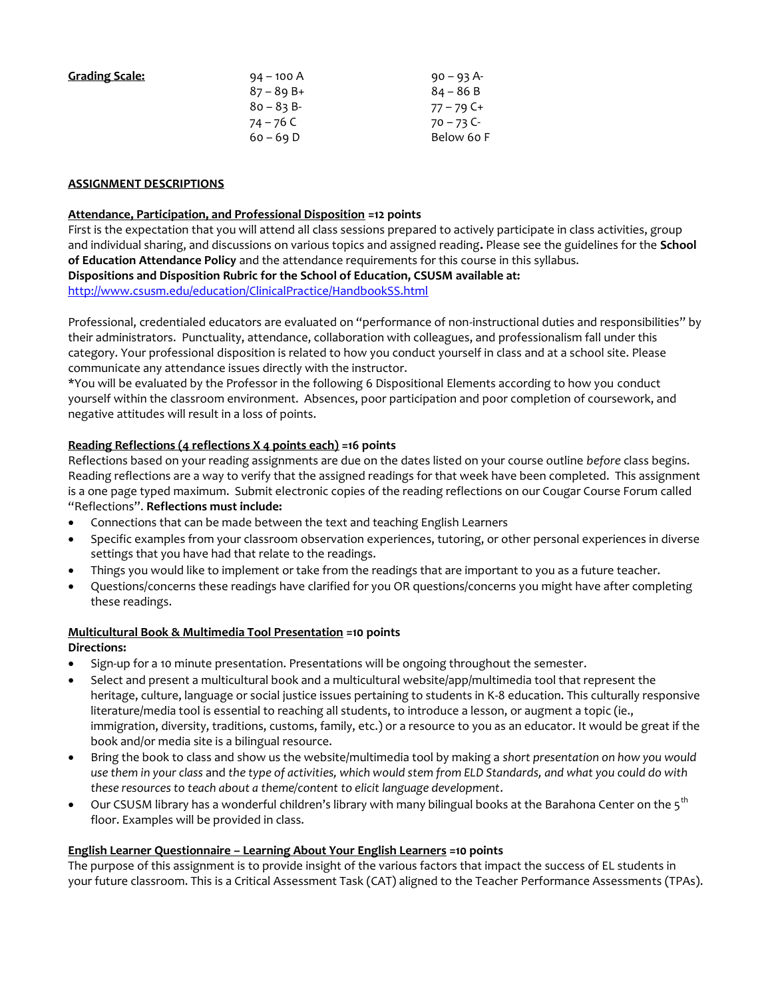| <b>Grading Scale:</b> | $94 - 100 A$ | $90 - 93$ A- |
|-----------------------|--------------|--------------|
|                       | $87 - 89B +$ | $84 - 86B$   |
|                       | $80 - 83 B$  | 77 – 79 C+   |
|                       | 74 – 76 C    | $70 - 73$ C- |
|                       | $60 - 69 D$  | Below 60 F   |

### **ASSIGNMENT DESCRIPTIONS**

### **Attendance, Participation, and Professional Disposition =12 points**

First is the expectation that you will attend all class sessions prepared to actively participate in class activities, group and individual sharing, and discussions on various topics and assigned reading**.** Please see the guidelines for the **School of Education Attendance Policy** and the attendance requirements for this course in this syllabus. **Dispositions and Disposition Rubric for the School of Education, CSUSM available at:**

<http://www.csusm.edu/education/ClinicalPractice/HandbookSS.html>

Professional, credentialed educators are evaluated on "performance of non-instructional duties and responsibilities" by their administrators. Punctuality, attendance, collaboration with colleagues, and professionalism fall under this category. Your professional disposition is related to how you conduct yourself in class and at a school site. Please communicate any attendance issues directly with the instructor.

\*You will be evaluated by the Professor in the following 6 Dispositional Elements according to how you conduct yourself within the classroom environment. Absences, poor participation and poor completion of coursework, and negative attitudes will result in a loss of points.

### **Reading Reflections (4 reflections X 4 points each) =16 points**

Reflections based on your reading assignments are due on the dates listed on your course outline *before* class begins. Reading reflections are a way to verify that the assigned readings for that week have been completed. This assignment is a one page typed maximum. Submit electronic copies of the reading reflections on our Cougar Course Forum called "Reflections". **Reflections must include:**

- Connections that can be made between the text and teaching English Learners
- Specific examples from your classroom observation experiences, tutoring, or other personal experiences in diverse settings that you have had that relate to the readings.
- Things you would like to implement or take from the readings that are important to you as a future teacher.
- Questions/concerns these readings have clarified for you OR questions/concerns you might have after completing these readings.

### **Multicultural Book & Multimedia Tool Presentation =10 points**

### **Directions:**

- Sign-up for a 10 minute presentation. Presentations will be ongoing throughout the semester.
- Select and present a multicultural book and a multicultural website/app/multimedia tool that represent the heritage, culture, language or social justice issues pertaining to students in K-8 education. This culturally responsive literature/media tool is essential to reaching all students, to introduce a lesson, or augment a topic (ie., immigration, diversity, traditions, customs, family, etc.) or a resource to you as an educator. It would be great if the book and/or media site is a bilingual resource.
- Bring the book to class and show us the website/multimedia tool by making a *short presentation on how you would use them in your class* and *the type of activities, which would stem from ELD Standards, and what you could do with these resources to teach about a theme/content to elicit language development*.
- Our CSUSM library has a wonderful children's library with many bilingual books at the Barahona Center on the 5<sup>th</sup> floor. Examples will be provided in class.

### **English Learner Questionnaire – Learning About Your English Learners =10 points**

The purpose of this assignment is to provide insight of the various factors that impact the success of EL students in your future classroom. This is a Critical Assessment Task (CAT) aligned to the Teacher Performance Assessments (TPAs).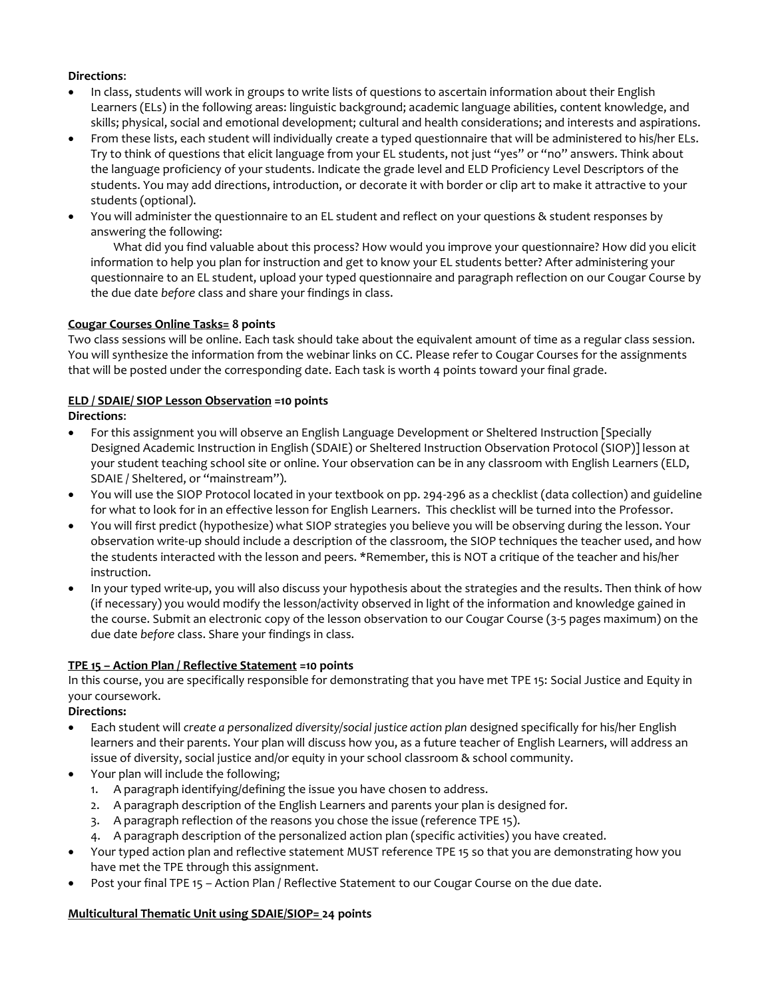## **Directions**:

- In class, students will work in groups to write lists of questions to ascertain information about their English Learners (ELs) in the following areas: linguistic background; academic language abilities, content knowledge, and skills; physical, social and emotional development; cultural and health considerations; and interests and aspirations.
- From these lists, each student will individually create a typed questionnaire that will be administered to his/her ELs. Try to think of questions that elicit language from your EL students, not just "yes" or "no" answers. Think about the language proficiency of your students. Indicate the grade level and ELD Proficiency Level Descriptors of the students. You may add directions, introduction, or decorate it with border or clip art to make it attractive to your students (optional).
- You will administer the questionnaire to an EL student and reflect on your questions & student responses by answering the following:

What did you find valuable about this process? How would you improve your questionnaire? How did you elicit information to help you plan for instruction and get to know your EL students better? After administering your questionnaire to an EL student, upload your typed questionnaire and paragraph reflection on our Cougar Course by the due date *before* class and share your findings in class.

### **Cougar Courses Online Tasks= 8 points**

Two class sessions will be online. Each task should take about the equivalent amount of time as a regular class session. You will synthesize the information from the webinar links on CC. Please refer to Cougar Courses for the assignments that will be posted under the corresponding date. Each task is worth 4 points toward your final grade.

### **ELD / SDAIE/ SIOP Lesson Observation =10 points**

### **Directions**:

- For this assignment you will observe an English Language Development or Sheltered Instruction [Specially Designed Academic Instruction in English (SDAIE) or Sheltered Instruction Observation Protocol (SIOP)] lesson at your student teaching school site or online. Your observation can be in any classroom with English Learners (ELD, SDAIE / Sheltered, or "mainstream").
- You will use the SIOP Protocol located in your textbook on pp. 294-296 as a checklist (data collection) and guideline for what to look for in an effective lesson for English Learners. This checklist will be turned into the Professor.
- You will first predict (hypothesize) what SIOP strategies you believe you will be observing during the lesson. Your observation write-up should include a description of the classroom, the SIOP techniques the teacher used, and how the students interacted with the lesson and peers. \*Remember, this is NOT a critique of the teacher and his/her instruction.
- In your typed write-up, you will also discuss your hypothesis about the strategies and the results. Then think of how (if necessary) you would modify the lesson/activity observed in light of the information and knowledge gained in the course. Submit an electronic copy of the lesson observation to our Cougar Course (3-5 pages maximum) on the due date *before* class. Share your findings in class.

# **TPE 15 – Action Plan / Reflective Statement =10 points**

In this course, you are specifically responsible for demonstrating that you have met TPE 15: Social Justice and Equity in your coursework.

### **Directions:**

- Each student will *create a personalized diversity/social justice action plan* designed specifically for his/her English learners and their parents. Your plan will discuss how you, as a future teacher of English Learners, will address an issue of diversity, social justice and/or equity in your school classroom & school community.
- Your plan will include the following;
	- 1. A paragraph identifying/defining the issue you have chosen to address.
	- 2. A paragraph description of the English Learners and parents your plan is designed for.
	- 3. A paragraph reflection of the reasons you chose the issue (reference TPE 15).
	- 4. A paragraph description of the personalized action plan (specific activities) you have created.
- Your typed action plan and reflective statement MUST reference TPE 15 so that you are demonstrating how you have met the TPE through this assignment.
- Post your final TPE 15 Action Plan / Reflective Statement to our Cougar Course on the due date.

### **Multicultural Thematic Unit using SDAIE/SIOP= 24 points**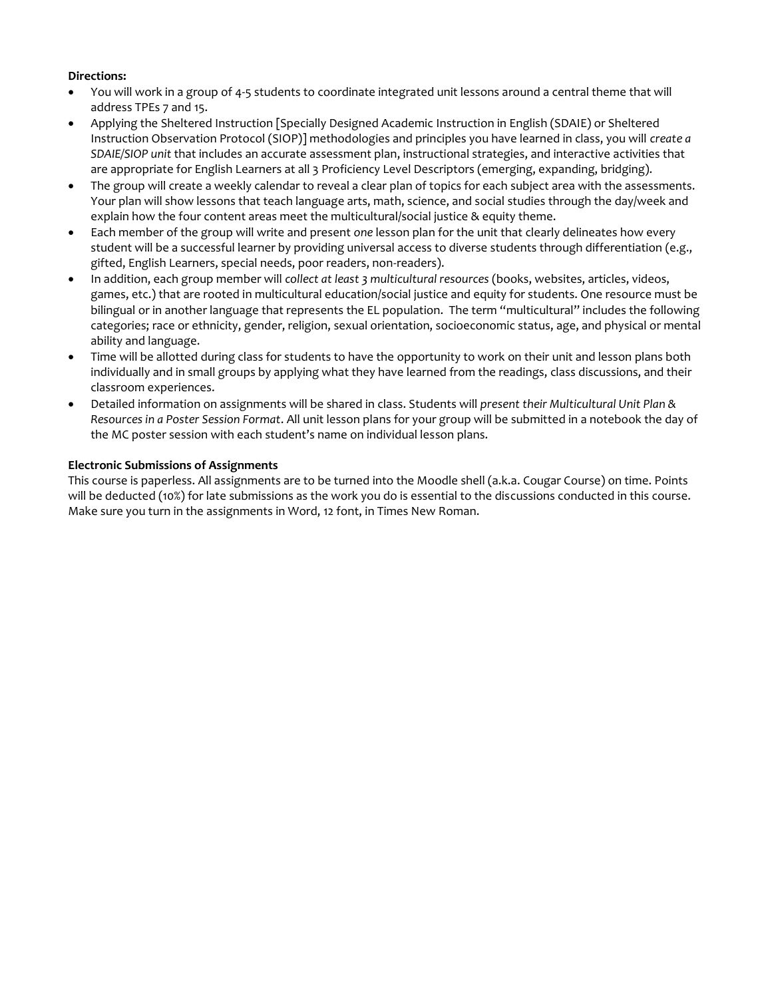# **Directions:**

- You will work in a group of 4-5 students to coordinate integrated unit lessons around a central theme that will address TPEs 7 and 15.
- Applying the Sheltered Instruction [Specially Designed Academic Instruction in English (SDAIE) or Sheltered Instruction Observation Protocol (SIOP)] methodologies and principles you have learned in class, you will *create a SDAIE/SIOP unit* that includes an accurate assessment plan, instructional strategies, and interactive activities that are appropriate for English Learners at all 3 Proficiency Level Descriptors (emerging, expanding, bridging).
- The group will create a weekly calendar to reveal a clear plan of topics for each subject area with the assessments. Your plan will show lessons that teach language arts, math, science, and social studies through the day/week and explain how the four content areas meet the multicultural/social justice & equity theme.
- Each member of the group will write and present *one* lesson plan for the unit that clearly delineates how every student will be a successful learner by providing universal access to diverse students through differentiation (e.g., gifted, English Learners, special needs, poor readers, non-readers).
- In addition, each group member will *collect at least 3 multicultural resources* (books, websites, articles, videos, games, etc.) that are rooted in multicultural education/social justice and equity for students. One resource must be bilingual or in another language that represents the EL population. The term "multicultural" includes the following categories; race or ethnicity, gender, religion, sexual orientation, socioeconomic status, age, and physical or mental ability and language.
- Time will be allotted during class for students to have the opportunity to work on their unit and lesson plans both individually and in small groups by applying what they have learned from the readings, class discussions, and their classroom experiences.
- Detailed information on assignments will be shared in class. Students will *present their Multicultural Unit Plan & Resources in a Poster Session Format*. All unit lesson plans for your group will be submitted in a notebook the day of the MC poster session with each student's name on individual lesson plans.

### **Electronic Submissions of Assignments**

This course is paperless. All assignments are to be turned into the Moodle shell (a.k.a. Cougar Course) on time. Points will be deducted (10%) for late submissions as the work you do is essential to the discussions conducted in this course. Make sure you turn in the assignments in Word, 12 font, in Times New Roman.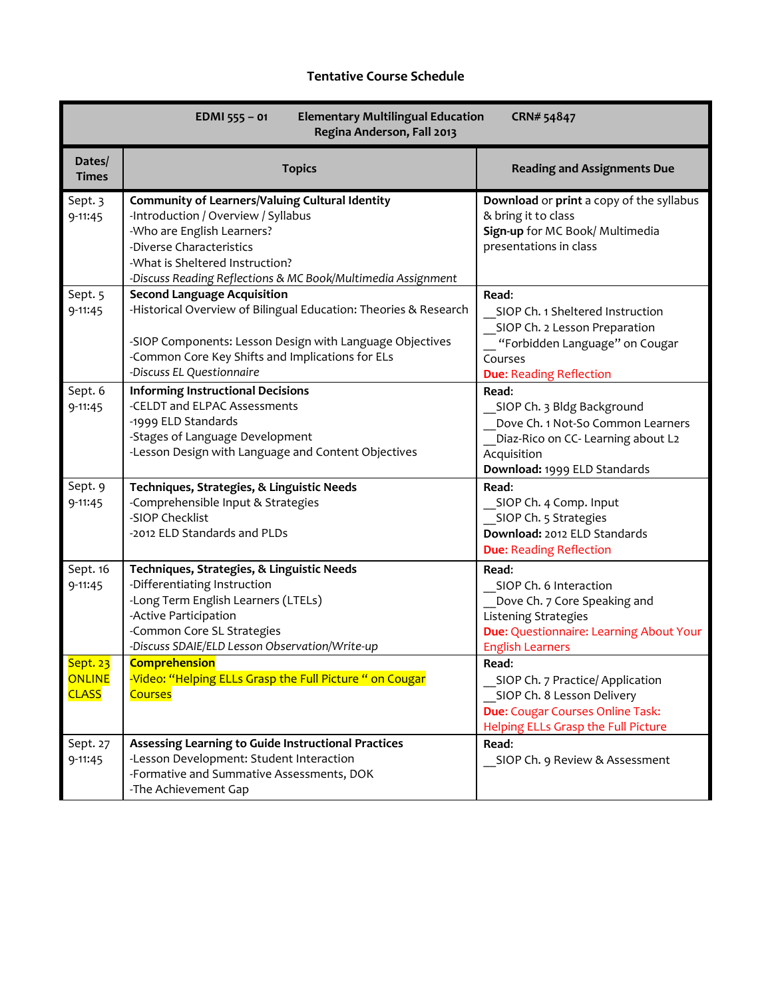# **Tentative Course Schedule**

| <b>Elementary Multilingual Education</b><br>EDMI 555 - 01<br>CRN# 54847<br>Regina Anderson, Fall 2013 |                                                                                                                                                                                                                                                            |                                                                                                                                                                      |  |  |  |
|-------------------------------------------------------------------------------------------------------|------------------------------------------------------------------------------------------------------------------------------------------------------------------------------------------------------------------------------------------------------------|----------------------------------------------------------------------------------------------------------------------------------------------------------------------|--|--|--|
| Dates/<br><b>Times</b>                                                                                | <b>Topics</b>                                                                                                                                                                                                                                              | <b>Reading and Assignments Due</b>                                                                                                                                   |  |  |  |
| Sept. 3<br>9-11:45                                                                                    | <b>Community of Learners/Valuing Cultural Identity</b><br>-Introduction / Overview / Syllabus<br>-Who are English Learners?<br>-Diverse Characteristics<br>-What is Sheltered Instruction?<br>-Discuss Reading Reflections & MC Book/Multimedia Assignment | Download or print a copy of the syllabus<br>& bring it to class<br>Sign-up for MC Book/ Multimedia<br>presentations in class                                         |  |  |  |
| Sept. 5<br>$9 - 11:45$                                                                                | <b>Second Language Acquisition</b><br>-Historical Overview of Bilingual Education: Theories & Research<br>-SIOP Components: Lesson Design with Language Objectives<br>-Common Core Key Shifts and Implications for ELs<br>-Discuss EL Questionnaire        | Read:<br>SIOP Ch. 1 Sheltered Instruction<br>SIOP Ch. 2 Lesson Preparation<br>"Forbidden Language" on Cougar<br>Courses<br><b>Due: Reading Reflection</b>            |  |  |  |
| Sept. 6<br>$9 - 11:45$                                                                                | <b>Informing Instructional Decisions</b><br>-CELDT and ELPAC Assessments<br>-1999 ELD Standards<br>-Stages of Language Development<br>-Lesson Design with Language and Content Objectives                                                                  | Read:<br>SIOP Ch. 3 Bldg Background<br>Dove Ch. 1 Not-So Common Learners<br>Diaz-Rico on CC- Learning about L2<br>Acquisition<br>Download: 1999 ELD Standards        |  |  |  |
| Sept. 9<br>9-11:45                                                                                    | Techniques, Strategies, & Linguistic Needs<br>-Comprehensible Input & Strategies<br>-SIOP Checklist<br>-2012 ELD Standards and PLDs                                                                                                                        | Read:<br>SIOP Ch. 4 Comp. Input<br>SIOP Ch. 5 Strategies<br>Download: 2012 ELD Standards<br><b>Due: Reading Reflection</b>                                           |  |  |  |
| Sept. 16<br>$9 - 11:45$                                                                               | Techniques, Strategies, & Linguistic Needs<br>-Differentiating Instruction<br>-Long Term English Learners (LTELs)<br>-Active Participation<br>-Common Core SL Strategies<br>-Discuss SDAIE/ELD Lesson Observation/Write-up                                 | Read:<br>SIOP Ch. 6 Interaction<br>Dove Ch. 7 Core Speaking and<br>Listening Strategies<br><b>Due: Questionnaire: Learning About Your</b><br><b>English Learners</b> |  |  |  |
| Sept. 23<br><b>ONLINE</b><br><b>CLASS</b>                                                             | <b>Comprehension</b><br>-Video: "Helping ELLs Grasp the Full Picture " on Cougar<br><b>Courses</b>                                                                                                                                                         | Read:<br>SIOP Ch. 7 Practice/ Application<br>SIOP Ch. 8 Lesson Delivery<br>Due: Cougar Courses Online Task:<br>Helping ELLs Grasp the Full Picture                   |  |  |  |
| Sept. 27<br>$9 - 11:45$                                                                               | Assessing Learning to Guide Instructional Practices<br>-Lesson Development: Student Interaction<br>-Formative and Summative Assessments, DOK<br>-The Achievement Gap                                                                                       | Read:<br>SIOP Ch. 9 Review & Assessment                                                                                                                              |  |  |  |